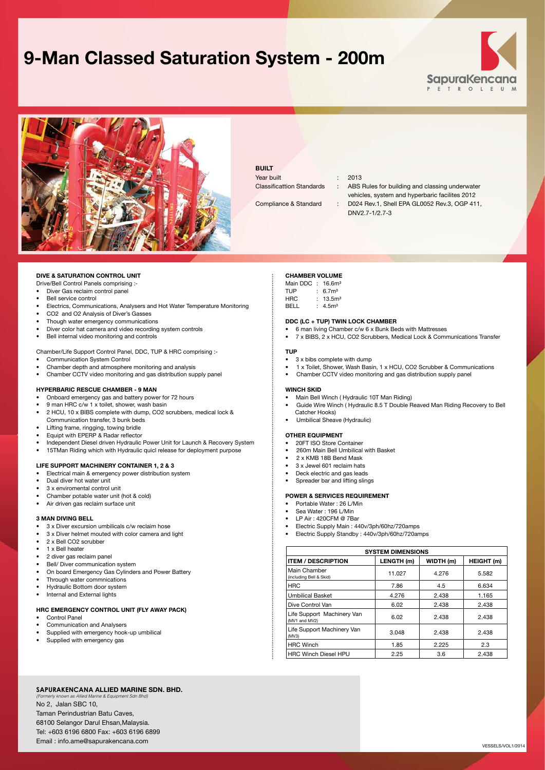# **9-Man Classed Saturation System - 200m**





### **BUILT**

Year built : 2013

Classificattion Standards : ABS Rules for building and classing underwater

vehicles, system and hyperbaric facilites 2012 Compliance & Standard : D024 Rev.1, Shell EPA GL0052 Rev.3, OGP 411, dnv2.7-1/2.7-3

#### **DIVE & SATURATION CONTROL UNIT**

- Drive/Bell Control Panels comprising :-
- Diver Gas reclaim control panel
- Bell service control
- Electrics, Communications, Analysers and Hot Water Temperature Monitoring
- CO2 and O2 Analysis of Diver's Gasses
- Though water emergency communications
- Diver color hat camera and video recording system controls
- Bell internal video monitoring and controls
- Chamber/Life Support Control Panel, DDC, TUP & HRC comprising :-
- Communication System Control
- Chamber depth and atmosphere monitoring and analysis
- Chamber CCTV video monitoring and gas distribution supply panel

#### **HYPERBARIC RESCUE CHAMBER - 9 MAN**

- Onboard emergency gas and battery power for 72 hours
- 9 man HRC c/w 1 x toilet, shower, wash basin
- 2 HCU, 10 x BIBS complete with dump, CO2 scrubbers, medical lock &
- Communication transfer, 3 bunk beds
- Lifting frame, ringging, towing bridle • Equipt with EPERP & Radar reflector
- 
- Independent Diesel driven Hydraulic Power Unit for Launch & Recovery System • 15TMan Riding which with Hydraulic quicl release for deployment purpose

#### **LIFE SUPPORT MACHINERY CONTAINER 1, 2 & 3**

- Electrical main & emergency power distribution system
- Dual diver hot water unit
- 3 x enviromental control unit
- Chamber potable water unit (hot & cold)
- Air driven gas reclaim surface unit

#### **3 MAN DIVING BELL**

- 3 x Diver excursion umbilicals c/w reclaim hose
- 3 x Diver helmet mouted with color camera and light
- 2 x Bell CO2 scrubber
- 1 x Bell heater
- 2 diver gas reclaim panel
- Bell/ Diver communication system
- On board Emergency Gas Cylinders and Power Battery
- Through water commnications
- Hydraulic Bottom door system
- Internal and External lights

#### **HRC EMERGENCY CONTROL UNIT (FLY AWAY PACK)**

- Control Panel
- Communication and Analysers
- Supplied with emergency hook-up umbilical
- Supplied with emergency gas

### **CHAMBER VOLUME**

- Main DDC : 16.6m<sup>3</sup> TUP : 6.7m<sup>3</sup> HRC : 13.5m<sup>3</sup>
- BELL : 4.5m³

### **DDC (LC + TUP) TWIN LOCK CHAMBER**

- 6 man living Chamber c/w 6 x Bunk Beds with Mattresses
- 7 x BIBS, 2 x HCU, CO2 Scrubbers, Medical Lock & Communications Transfer

#### **TUP**

- 3 x bibs complete with dump
- 1 x Toilet, Shower, Wash Basin, 1 x HCU, CO2 Scrubber & Communications
- Chamber CCTV video monitoring and gas distribution supply panel

#### **WINCH SKID**

- Main Bell Winch ( Hydraulic 10T Man Riding)
- Guide Wire Winch ( Hydraulic 8.5 T Double Reaved Man Riding Recovery to Bell Catcher Hooks)
- Umbilical Sheave (Hydraulic)

#### **OTHER EQUIPMENT**

- 20FT ISO Store Container • 260m Main Bell Umbilical with Basket
- 2 x KMB 18B Bend Mask
- 
- 3 x Jewel 601 reclaim hats
- Deck electric and gas leads
- Spreader har and lifting slings

### **POWER & SERVICES REQUIREMENT**

- Portable Water : 26 L/Min
- Sea Water: 196 L/Min
- LP Air : 420CFM @ 7Bar
- Electric Supply Main : 440v/3ph/60hz/720amps
- Electric Supply Standby : 440v/3ph/60hz/720amps

| <b>SYSTEM DIMENSIONS</b>                    |            |           |            |
|---------------------------------------------|------------|-----------|------------|
| <b>ITEM / DESCRIPTION</b>                   | LENGTH (m) | WIDTH (m) | HEIGHT (m) |
| Main Chamber<br>(including Bell & Skid)     | 11.027     | 4.276     | 5.582      |
| <b>HRC</b>                                  | 7.86       | 4.5       | 6.634      |
| <b>Umbilical Basket</b>                     | 4.276      | 2.438     | 1.165      |
| Dive Control Van                            | 6.02       | 2.438     | 2.438      |
| Life Support Machinery Van<br>(MV1 and MV2) | 6.02       | 2.438     | 2.438      |
| Life Support Machinery Van<br>(MV3)         | 3.048      | 2.438     | 2.438      |
| <b>HRC Winch</b>                            | 1.85       | 2.225     | 2.3        |
| <b>HRC Winch Diesel HPU</b>                 | 2.25       | 3.6       | 2.438      |

#### **SapuraKencana Allied Marine Sdn. Bhd.** *(Formerly known as Allied Marine & Equipment Sdn Bhd)*

No 2, Jalan SBC 10, Taman Perindustrian Batu Caves, 68100 Selangor Darul Ehsan,Malaysia. Tel: +603 6196 6800 Fax: +603 6196 6899 Email : info.ame@sapurakencana.com